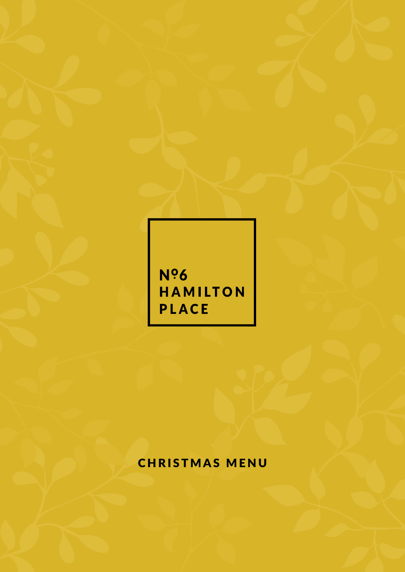Nº6 **HAMILTON** PLACE

## CHRISTMAS MENU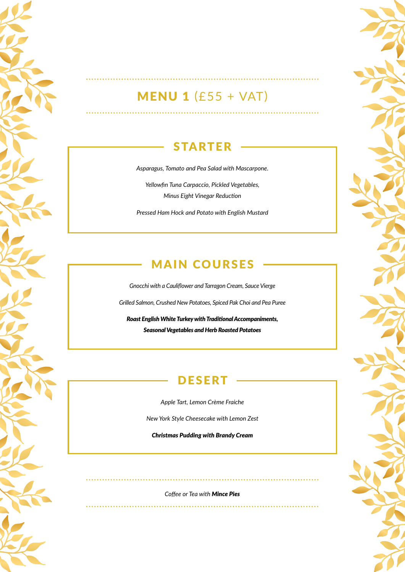# MENU 1 (£55 + VAT)

<u>. . . . . . . . . . . . . . . .</u>

#### STARTER

*Asparagus, Tomato and Pea Salad with Mascarpone.*

*Yellowfin Tuna Carpaccio, Pickled Vegetables, Minus Eight Vinegar Reduction*

*Pressed Ham Hock and Potato with English Mustard*

#### MAIN COURSES

*Gnocchi with a Cauliflower and Tarragon Cream, Sauce Vierge Grilled Salmon, Crushed New Potatoes, Spiced Pak Choi and Pea Puree*

*Roast English White Turkey with Traditional Accompaniments, Seasonal Vegetables and Herb Roasted Potatoes*

#### **DESERT**

*Apple Tart, Lemon Crème Fraiche*

*New York Style Cheesecake with Lemon Zest*

*Christmas Pudding with Brandy Cream*

*Coffee or Tea with Mince Pies*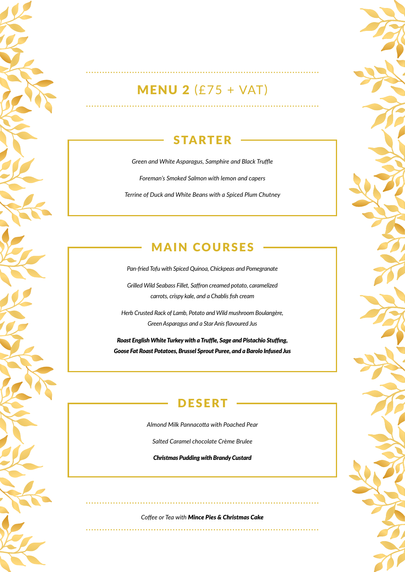# MENU 2 (£75 + VAT)

. . . . . . . . . . . . . . . . . . .

. . . . . . . . . . . . . . . . . . .

#### STARTER

*Green and White Asparagus, Samphire and Black Truffle Foreman's Smoked Salmon with lemon and capers Terrine of Duck and White Beans with a Spiced Plum Chutney*

### MAIN COURSES

*Pan-fried Tofu with Spiced Quinoa, Chickpeas and Pomegranate*

*Grilled Wild Seabass Fillet, Saffron creamed potato, caramelized carrots, crispy kale, and a Chablis fish cream*

*Herb Crusted Rack of Lamb, Potato and Wild mushroom Boulangère, Green Asparagus and a Star Anis flavoured Jus*

*Roast English White Turkey with a Truffle, Sage and Pistachio Stuffing, Goose Fat Roast Potatoes, Brussel Sprout Puree, and a Barolo Infused Jus*

#### DESERT

*Almond Milk Pannacotta with Poached Pear*

*Salted Caramel chocolate Crème Brulee*

*Christmas Pudding with Brandy Custard*

*Coffee or Tea with Mince Pies & Christmas Cake*